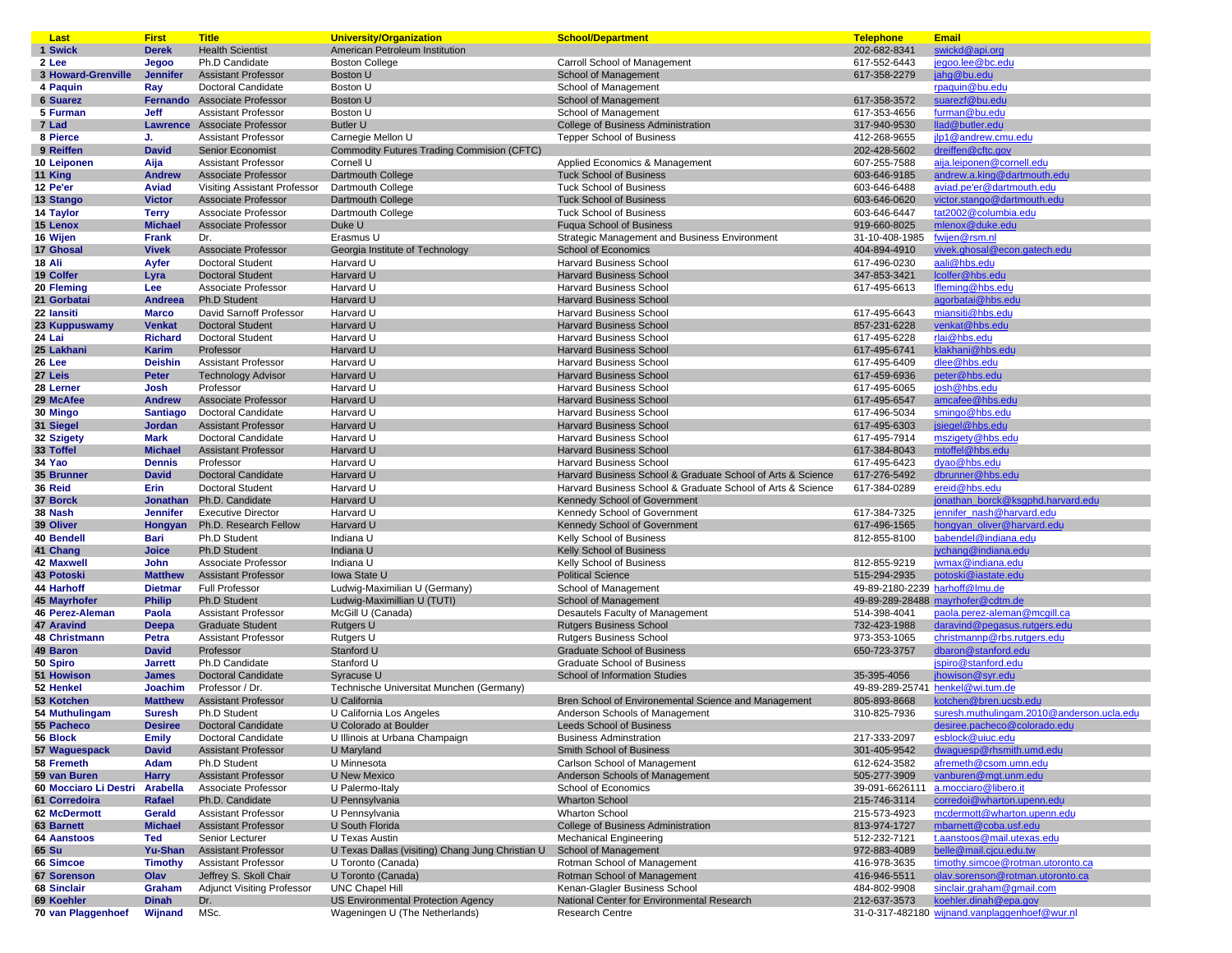| Last                             | <b>First</b>            | <b>Title</b>                      | University/Organization                                              | <b>School/Department</b>                                      | <b>Telephone</b>               | <b>Email</b>                                                           |
|----------------------------------|-------------------------|-----------------------------------|----------------------------------------------------------------------|---------------------------------------------------------------|--------------------------------|------------------------------------------------------------------------|
| 1 Swick                          | <b>Derek</b>            | <b>Health Scientist</b>           | American Petroleum Institution                                       |                                                               | 202-682-8341                   | swickd@api.org                                                         |
| 2 Lee                            | Jegoo                   | Ph.D Candidate                    | <b>Boston College</b>                                                | Carroll School of Management                                  | 617-552-6443                   | jegoo.lee@bc.edu                                                       |
| 3 Howard-Grenville               | <b>Jennifer</b>         | <b>Assistant Professor</b>        | Boston U                                                             | School of Management                                          | 617-358-2279                   | jahq@bu.edu                                                            |
| 4 Paquin                         | Ray                     | <b>Doctoral Candidate</b>         | Boston U                                                             | School of Management                                          |                                | rpaquin@bu.edu                                                         |
| <b>6 Suarez</b>                  |                         | Fernando Associate Professor      | Boston U                                                             | School of Management                                          | 617-358-3572                   | suarezf@bu.edu                                                         |
| 5 Furman                         | <b>Jeff</b>             | <b>Assistant Professor</b>        | Boston U                                                             | School of Management                                          | 617-353-4656                   | furman@bu.edu                                                          |
|                                  |                         |                                   |                                                                      |                                                               |                                |                                                                        |
| 7 Lad                            |                         | Lawrence Associate Professor      | <b>Butler U</b>                                                      | College of Business Administration                            | 317-940-9530                   | llad@butler.edu                                                        |
| 8 Pierce                         | J.                      | <b>Assistant Professor</b>        | Carnegie Mellon U                                                    | <b>Tepper School of Business</b>                              | 412-268-9655                   | jlp1@andrew.cmu.edu                                                    |
| 9 Reiffen                        | <b>David</b>            | Senior Economist                  | Commodity Futures Trading Commision (CFTC)                           |                                                               | 202-428-5602                   | dreiffen@cftc.gov                                                      |
| 10 Leiponen                      | Aija                    | <b>Assistant Professor</b>        | Cornell U                                                            | Applied Economics & Management                                | 607-255-7588                   | aija.leiponen@cornell.edu                                              |
| 11 King                          | <b>Andrew</b>           | <b>Associate Professor</b>        | Dartmouth College                                                    | <b>Tuck School of Business</b>                                | 603-646-9185                   | andrew.a.king@dartmouth.edu                                            |
| 12 Pe'er                         | Aviad                   | Visiting Assistant Professor      | Dartmouth College                                                    | <b>Tuck School of Business</b>                                | 603-646-6488                   | aviad.pe'er@dartmouth.edu                                              |
| 13 Stango                        | <b>Victor</b>           | <b>Associate Professor</b>        | Dartmouth College                                                    | <b>Tuck School of Business</b>                                | 603-646-0620                   | victor.stango@dartmouth.edu                                            |
| 14 Taylor                        | <b>Terry</b>            | Associate Professor               | Dartmouth College                                                    | <b>Tuck School of Business</b>                                | 603-646-6447                   | tat2002@columbia.edu                                                   |
| 15 Lenox                         | <b>Michael</b>          | <b>Associate Professor</b>        | Duke U                                                               | <b>Fuqua School of Business</b>                               | 919-660-8025                   | mlenox@duke.edu                                                        |
|                                  |                         |                                   |                                                                      |                                                               |                                |                                                                        |
| 16 Wijen                         | Frank                   | Dr.                               | Erasmus U                                                            | Strategic Management and Business Environment                 | 31-10-408-1985                 | fwijen@rsm.nl                                                          |
| 17 Ghosal                        | <b>Vivek</b>            | <b>Associate Professor</b>        | Georgia Institute of Technology                                      | <b>School of Economics</b>                                    | 404-894-4910                   | vivek.ghosal@econ.gatech.edu                                           |
| 18 Ali                           | Ayfer                   | <b>Doctoral Student</b>           | Harvard U                                                            | <b>Harvard Business School</b>                                | 617-496-0230                   | aali@hbs.edu                                                           |
| 19 Colfer                        | Lyra                    | <b>Doctoral Student</b>           | Harvard U                                                            | <b>Harvard Business School</b>                                | 347-853-3421                   | lcolfer@hbs.edu                                                        |
| 20 Fleming                       | Lee                     | Associate Professor               | Harvard U                                                            | <b>Harvard Business School</b>                                | 617-495-6613                   | lfleming@hbs.edu                                                       |
| 21 Gorbatai                      | <b>Andreea</b>          | Ph.D Student                      | Harvard U                                                            | <b>Harvard Business School</b>                                |                                | agorbatai@hbs.edu                                                      |
| 22 lansiti                       | <b>Marco</b>            | David Sarnoff Professor           | Harvard U                                                            | <b>Harvard Business School</b>                                | 617-495-6643                   | miansiti@hbs.edu                                                       |
|                                  | <b>Venkat</b>           | <b>Doctoral Student</b>           | Harvard U                                                            | <b>Harvard Business School</b>                                | 857-231-6228                   | venkat@hbs.edu                                                         |
| 23 Kuppuswamy                    |                         |                                   |                                                                      |                                                               |                                |                                                                        |
| 24 Lai                           | <b>Richard</b>          | <b>Doctoral Student</b>           | Harvard U                                                            | <b>Harvard Business School</b>                                | 617-495-6228                   | rlai@hbs.edu                                                           |
| 25 Lakhani                       | <b>Karim</b>            | Professor                         | Harvard U                                                            | <b>Harvard Business School</b>                                | 617-495-6741                   | klakhani@hbs.edu                                                       |
| 26 Lee                           | <b>Deishin</b>          | <b>Assistant Professor</b>        | Harvard U                                                            | <b>Harvard Business School</b>                                | 617-495-6409                   | dlee@hbs.edu                                                           |
| 27 Leis                          | <b>Peter</b>            | <b>Technology Advisor</b>         | Harvard U                                                            | <b>Harvard Business School</b>                                | 617-459-6936                   | peter@hbs.edu                                                          |
| 28 Lerner                        | Josh                    | Professor                         | Harvard U                                                            | <b>Harvard Business School</b>                                | 617-495-6065                   | josh@hbs.edu                                                           |
| 29 McAfee                        | <b>Andrew</b>           | Associate Professor               | Harvard U                                                            | <b>Harvard Business School</b>                                | 617-495-6547                   | amcafee@hbs.edu                                                        |
| 30 Mingo                         |                         | <b>Doctoral Candidate</b>         | Harvard U                                                            | <b>Harvard Business School</b>                                | 617-496-5034                   | smingo@hbs.edu                                                         |
|                                  | <b>Santiago</b>         |                                   |                                                                      |                                                               |                                |                                                                        |
| 31 Siegel                        | <b>Jordan</b>           | <b>Assistant Professor</b>        | Harvard U                                                            | <b>Harvard Business School</b>                                | 617-495-6303                   | siegel@hbs.edu                                                         |
| 32 Szigety                       | <b>Mark</b>             | Doctoral Candidate                | Harvard U                                                            | <b>Harvard Business School</b>                                | 617-495-7914                   | mszigety@hbs.edu                                                       |
| 33 Toffel                        | <b>Michael</b>          | <b>Assistant Professor</b>        | Harvard U                                                            | <b>Harvard Business School</b>                                | 617-384-8043                   | mtoffel@hbs.edu                                                        |
| 34 Yao                           | <b>Dennis</b>           | Professor                         | Harvard U                                                            | <b>Harvard Business School</b>                                | 617-495-6423                   | dyao@hbs.edu                                                           |
| 35 Brunner                       | <b>David</b>            | <b>Doctoral Candidate</b>         | Harvard U                                                            | Harvard Business School & Graduate School of Arts & Science   | 617-276-5492                   | dbrunner@hbs.edu                                                       |
| 36 Reid                          | Erin                    | <b>Doctoral Student</b>           | Harvard U                                                            | Harvard Business School & Graduate School of Arts & Science   | 617-384-0289                   | ereid@hbs.edu                                                          |
| 37 Borck                         | <b>Jonathan</b>         | Ph.D. Candidate                   | Harvard U                                                            | Kennedy School of Government                                  |                                | jonathan borck@ksqphd.harvard.edu                                      |
|                                  |                         |                                   |                                                                      |                                                               |                                |                                                                        |
| 38 Nash                          | <b>Jennifer</b>         | <b>Executive Director</b>         | Harvard U                                                            | Kennedy School of Government                                  | 617-384-7325                   | jennifer nash@harvard.edu                                              |
| 39 Oliver                        | Hongyan                 | Ph.D. Research Fellow             | Harvard U                                                            | Kennedy School of Government                                  | 617-496-1565                   | hongyan oliver@harvard.edu                                             |
| 40 Bendell                       | <b>Bari</b>             | Ph.D Student                      | Indiana U                                                            | Kelly School of Business                                      | 812-855-8100                   | babendel@indiana.edu                                                   |
|                                  |                         |                                   |                                                                      |                                                               |                                |                                                                        |
| 41 Chang                         | <b>Joice</b>            | Ph.D Student                      | Indiana U                                                            | Kelly School of Business                                      |                                | iychang@indiana.edu                                                    |
|                                  |                         |                                   |                                                                      |                                                               |                                |                                                                        |
| <b>42 Maxwell</b>                | John                    | Associate Professor               | Indiana U                                                            | Kelly School of Business                                      | 812-855-9219                   | jwmax@indiana.edu                                                      |
| 43 Potoski                       | <b>Matthew</b>          | <b>Assistant Professor</b>        | Iowa State U                                                         | <b>Political Science</b>                                      | 515-294-2935                   | potoski@iastate.edu                                                    |
| 44 Harhoff                       | <b>Dietmar</b>          | <b>Full Professor</b>             | Ludwig-Maximilian U (Germany)                                        | School of Management                                          | 49-89-2180-2239 harhoff@lmu.de |                                                                        |
| 45 Mayrhofer                     | <b>Philip</b>           | Ph.D Student                      | Ludwig-Maximillian U (TUTI)                                          | School of Management                                          |                                | 49-89-289-28488 mayrhofer@cdtm.de                                      |
| 46 Perez-Aleman                  | Paola                   | <b>Assistant Professor</b>        | McGill U (Canada)                                                    | Desautels Faculty of Management                               | 514-398-4041                   | paola.perez-aleman@mcqill.ca                                           |
| <b>47 Aravind</b>                | Deepa                   | <b>Graduate Student</b>           | Rutgers U                                                            | <b>Rutgers Business School</b>                                | 732-423-1988                   | daravind@pegasus.rutgers.edu                                           |
| 48 Christmann                    | Petra                   | <b>Assistant Professor</b>        | Rutgers U                                                            | <b>Rutgers Business School</b>                                | 973-353-1065                   | christmannp@rbs.rutgers.edu                                            |
| 49 Baron                         | <b>David</b>            | Professor                         | Stanford U                                                           | <b>Graduate School of Business</b>                            | 650-723-3757                   | dbaron@stanford.edu                                                    |
|                                  |                         | Ph.D Candidate                    | Stanford U                                                           | <b>Graduate School of Business</b>                            |                                |                                                                        |
| 50 Spiro                         | <b>Jarrett</b>          |                                   |                                                                      |                                                               |                                | jspiro@stanford.edu                                                    |
| 51 Howison                       | <b>James</b>            | <b>Doctoral Candidate</b>         | Syracuse U                                                           | School of Information Studies                                 | 35-395-4056                    | jhowison@syr.edu                                                       |
| 52 Henkel                        | Joachim                 | Professor / Dr.                   | Technische Universitat Munchen (Germany)                             |                                                               | 49-89-289-25741                | henkel@wi.tum.de                                                       |
| 53 Kotchen                       | <b>Matthew</b>          | <b>Assistant Professor</b>        | U California                                                         | Bren School of Environemental Science and Management          | 805-893-8668                   | <u>cotchen@bren.ucsb.edu</u>                                           |
| 54 Muthulingam                   | <b>Suresh</b>           | Ph.D Student                      | U California Los Angeles                                             | Anderson Schools of Management                                | 310-825-7936                   | suresh.muthulingam.2010@anderson.ucla.edu                              |
| 55 Pacheco                       | <b>Desiree</b>          | Doctoral Candidate                | U Colorado at Boulder                                                | <b>Leeds School of Business</b>                               |                                | desiree.pacheco@colorado.edu                                           |
| 56 Block                         | <b>Emily</b>            | Doctoral Candidate                | U Illinois at Urbana Champaign                                       | <b>Business Adminstration</b>                                 | 217-333-2097                   | esblock@uiuc.edu                                                       |
| 57 Waguespack                    | <b>David</b>            | <b>Assistant Professor</b>        | U Maryland                                                           | Smith School of Business                                      | 301-405-9542                   | dwaguesp@rhsmith.umd.edu                                               |
|                                  |                         |                                   |                                                                      |                                                               |                                |                                                                        |
| 58 Fremeth                       | Adam                    | Ph.D Student                      | U Minnesota                                                          | Carlson School of Management                                  | 612-624-3582                   | afremeth@csom.umn.edu                                                  |
| 59 van Buren                     | <b>Harry</b>            | <b>Assistant Professor</b>        | U New Mexico                                                         | Anderson Schools of Management                                | 505-277-3909                   | vanburen@mgt.unm.edu                                                   |
| 60 Mocciaro Li Destri            | <b>Arabella</b>         | Associate Professor               | U Palermo-Italy                                                      | School of Economics                                           | 39-091-6626111                 | a.mocciaro@libero.it                                                   |
| 61 Corredoira                    | Rafael                  | Ph.D. Candidate                   | U Pennsylvania                                                       | <b>Wharton School</b>                                         | 215-746-3114                   | corredoi@wharton.upenn.edu                                             |
| 62 McDermott                     | Gerald                  | <b>Assistant Professor</b>        | U Pennsylvania                                                       | Wharton School                                                | 215-573-4923                   | mcdermott@wharton.upenn.edu                                            |
| 63 Barnett                       | <b>Michael</b>          | <b>Assistant Professor</b>        | U South Florida                                                      | College of Business Administration                            | 813-974-1727                   | mbarnett@coba.usf.edu                                                  |
| <b>64 Aanstoos</b>               | Ted                     | Senior Lecturer                   | U Texas Austin                                                       | Mechanical Engineering                                        | 512-232-7121                   | t.aanstoos@mail.utexas.edu                                             |
|                                  |                         |                                   |                                                                      |                                                               |                                |                                                                        |
| 65 Su                            | <b>Yu-Shan</b>          | <b>Assistant Professor</b>        | U Texas Dallas (visiting) Chang Jung Christian U                     | School of Management                                          | 972-883-4089                   | belle@mail.cjcu.edu.tw                                                 |
| 66 Simcoe                        | <b>Timothy</b>          | <b>Assistant Professor</b>        | U Toronto (Canada)                                                   | Rotman School of Management                                   | 416-978-3635                   | timothy.simcoe@rotman.utoronto.ca                                      |
| <b>67 Sorenson</b>               | Olav                    | Jeffrey S. Skoll Chair            | U Toronto (Canada)                                                   | Rotman School of Management                                   | 416-946-5511                   | olav.sorenson@rotman.utoronto.ca                                       |
| <b>68 Sinclair</b>               | Graham                  | <b>Adjunct Visiting Professor</b> | <b>UNC Chapel Hill</b>                                               | Kenan-Glagler Business School                                 | 484-802-9908                   | sinclair.graham@gmail.com                                              |
| 69 Koehler<br>70 van Plaggenhoef | <b>Dinah</b><br>Wijnand | Dr.<br>MSc.                       | US Environmental Protection Agency<br>Wageningen U (The Netherlands) | National Center for Environmental Research<br>Research Centre | 212-637-3573                   | koehler.dinah@epa.gov<br>31-0-317-482180 wijnand.vanplaggenhoef@wur.nl |